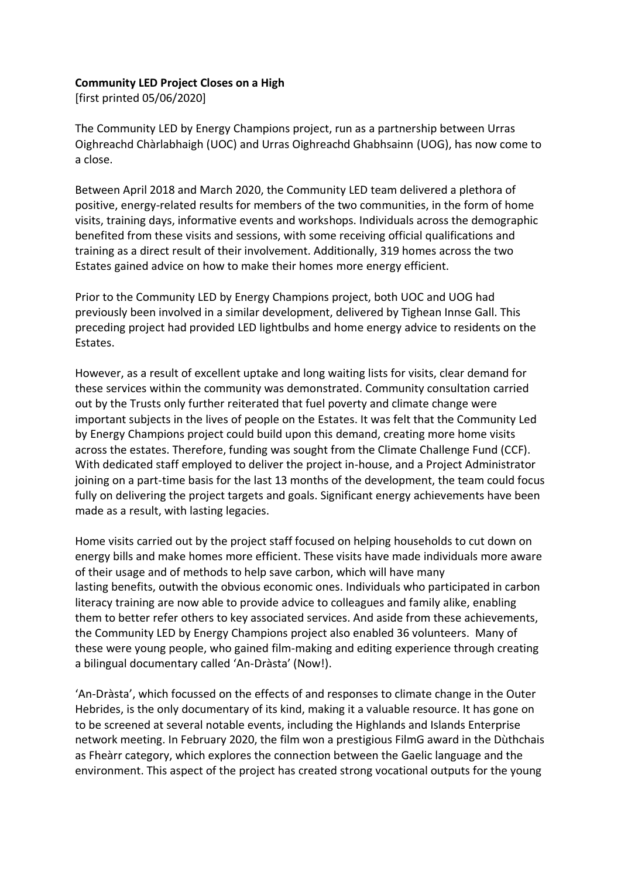## **Community LED Project Closes on a High**

[first printed 05/06/2020]

The Community LED by Energy Champions project, run as a partnership between Urras Oighreachd Chàrlabhaigh (UOC) and Urras Oighreachd Ghabhsainn (UOG), has now come to a close.

Between April 2018 and March 2020, the Community LED team delivered a plethora of positive, energy-related results for members of the two communities, in the form of home visits, training days, informative events and workshops. Individuals across the demographic benefited from these visits and sessions, with some receiving official qualifications and training as a direct result of their involvement. Additionally, 319 homes across the two Estates gained advice on how to make their homes more energy efficient.

Prior to the Community LED by Energy Champions project, both UOC and UOG had previously been involved in a similar development, delivered by Tighean Innse Gall. This preceding project had provided LED lightbulbs and home energy advice to residents on the Estates.

However, as a result of excellent uptake and long waiting lists for visits, clear demand for these services within the community was demonstrated. Community consultation carried out by the Trusts only further reiterated that fuel poverty and climate change were important subjects in the lives of people on the Estates. It was felt that the Community Led by Energy Champions project could build upon this demand, creating more home visits across the estates. Therefore, funding was sought from the Climate Challenge Fund (CCF). With dedicated staff employed to deliver the project in-house, and a Project Administrator joining on a part-time basis for the last 13 months of the development, the team could focus fully on delivering the project targets and goals. Significant energy achievements have been made as a result, with lasting legacies.

Home visits carried out by the project staff focused on helping households to cut down on energy bills and make homes more efficient. These visits have made individuals more aware of their usage and of methods to help save carbon, which will have many lasting benefits, outwith the obvious economic ones. Individuals who participated in carbon literacy training are now able to provide advice to colleagues and family alike, enabling them to better refer others to key associated services. And aside from these achievements, the Community LED by Energy Champions project also enabled 36 volunteers. Many of these were young people, who gained film-making and editing experience through creating a bilingual documentary called 'An-Dràsta' (Now!).

'An-Dràsta', which focussed on the effects of and responses to climate change in the Outer Hebrides, is the only documentary of its kind, making it a valuable resource. It has gone on to be screened at several notable events, including the Highlands and Islands Enterprise network meeting. In February 2020, the film won a prestigious FilmG award in the Dùthchais as Fheàrr category, which explores the connection between the Gaelic language and the environment. This aspect of the project has created strong vocational outputs for the young